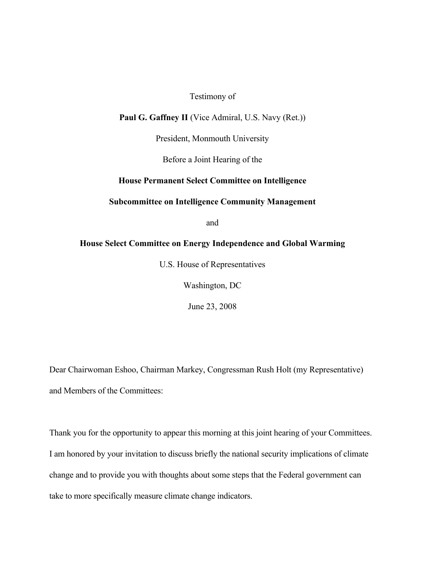# Testimony of

#### **Paul G. Gaffney II** (Vice Admiral, U.S. Navy (Ret.))

President, Monmouth University

Before a Joint Hearing of the

# **House Permanent Select Committee on Intelligence**

#### **Subcommittee on Intelligence Community Management**

and

# **House Select Committee on Energy Independence and Global Warming**

U.S. House of Representatives

Washington, DC

June 23, 2008

Dear Chairwoman Eshoo, Chairman Markey, Congressman Rush Holt (my Representative) and Members of the Committees:

Thank you for the opportunity to appear this morning at this joint hearing of your Committees. I am honored by your invitation to discuss briefly the national security implications of climate change and to provide you with thoughts about some steps that the Federal government can take to more specifically measure climate change indicators.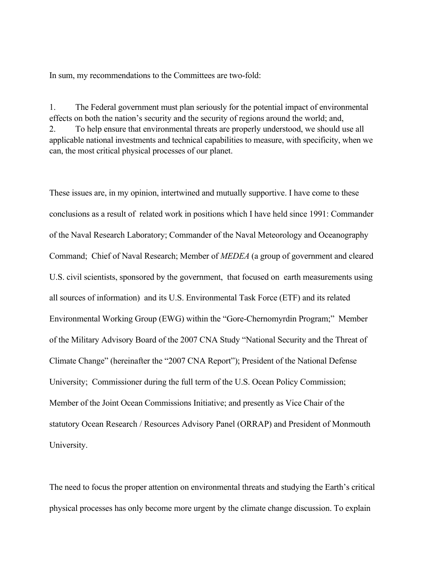In sum, my recommendations to the Committees are two-fold:

1. The Federal government must plan seriously for the potential impact of environmental effects on both the nation's security and the security of regions around the world; and, 2. To help ensure that environmental threats are properly understood, we should use all applicable national investments and technical capabilities to measure, with specificity, when we can, the most critical physical processes of our planet.

These issues are, in my opinion, intertwined and mutually supportive. I have come to these conclusions as a result of related work in positions which I have held since 1991: Commander of the Naval Research Laboratory; Commander of the Naval Meteorology and Oceanography Command; Chief of Naval Research; Member of *MEDEA* (a group of government and cleared U.S. civil scientists, sponsored by the government, that focused on earth measurements using all sources of information) and its U.S. Environmental Task Force (ETF) and its related Environmental Working Group (EWG) within the "Gore-Chernomyrdin Program;" Member of the Military Advisory Board of the 2007 CNA Study "National Security and the Threat of Climate Change" (hereinafter the "2007 CNA Report"); President of the National Defense University; Commissioner during the full term of the U.S. Ocean Policy Commission; Member of the Joint Ocean Commissions Initiative; and presently as Vice Chair of the statutory Ocean Research / Resources Advisory Panel (ORRAP) and President of Monmouth University.

The need to focus the proper attention on environmental threats and studying the Earth's critical physical processes has only become more urgent by the climate change discussion. To explain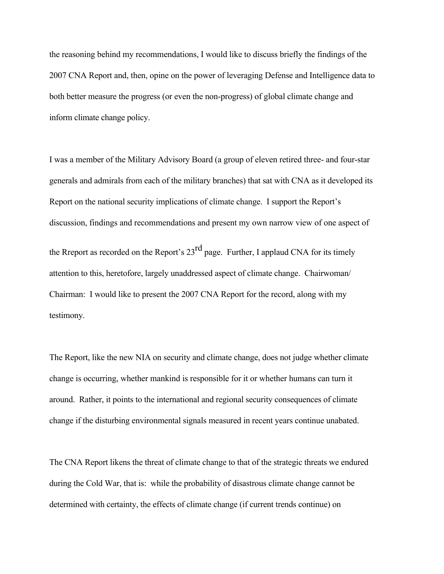the reasoning behind my recommendations, I would like to discuss briefly the findings of the 2007 CNA Report and, then, opine on the power of leveraging Defense and Intelligence data to both better measure the progress (or even the non-progress) of global climate change and inform climate change policy.

I was a member of the Military Advisory Board (a group of eleven retired three- and four-star generals and admirals from each of the military branches) that sat with CNA as it developed its Report on the national security implications of climate change. I support the Report's discussion, findings and recommendations and present my own narrow view of one aspect of the Rreport as recorded on the Report's  $23<sup>rd</sup>$  page. Further, I applaud CNA for its timely attention to this, heretofore, largely unaddressed aspect of climate change. Chairwoman/ Chairman: I would like to present the 2007 CNA Report for the record, along with my testimony.

The Report, like the new NIA on security and climate change, does not judge whether climate change is occurring, whether mankind is responsible for it or whether humans can turn it around. Rather, it points to the international and regional security consequences of climate change if the disturbing environmental signals measured in recent years continue unabated.

The CNA Report likens the threat of climate change to that of the strategic threats we endured during the Cold War, that is: while the probability of disastrous climate change cannot be determined with certainty, the effects of climate change (if current trends continue) on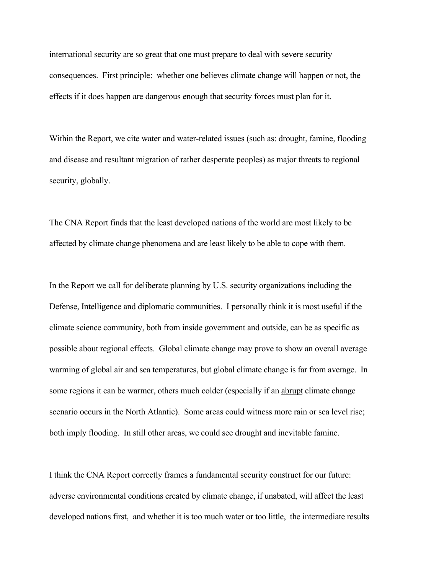international security are so great that one must prepare to deal with severe security consequences. First principle: whether one believes climate change will happen or not, the effects if it does happen are dangerous enough that security forces must plan for it.

Within the Report, we cite water and water-related issues (such as: drought, famine, flooding and disease and resultant migration of rather desperate peoples) as major threats to regional security, globally.

The CNA Report finds that the least developed nations of the world are most likely to be affected by climate change phenomena and are least likely to be able to cope with them.

In the Report we call for deliberate planning by U.S. security organizations including the Defense, Intelligence and diplomatic communities. I personally think it is most useful if the climate science community, both from inside government and outside, can be as specific as possible about regional effects. Global climate change may prove to show an overall average warming of global air and sea temperatures, but global climate change is far from average. In some regions it can be warmer, others much colder (especially if an abrupt climate change scenario occurs in the North Atlantic). Some areas could witness more rain or sea level rise; both imply flooding. In still other areas, we could see drought and inevitable famine.

I think the CNA Report correctly frames a fundamental security construct for our future: adverse environmental conditions created by climate change, if unabated, will affect the least developed nations first, and whether it is too much water or too little, the intermediate results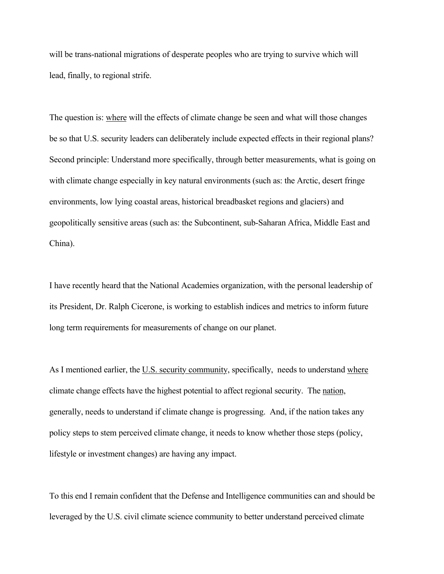will be trans-national migrations of desperate peoples who are trying to survive which will lead, finally, to regional strife.

The question is: where will the effects of climate change be seen and what will those changes be so that U.S. security leaders can deliberately include expected effects in their regional plans? Second principle: Understand more specifically, through better measurements, what is going on with climate change especially in key natural environments (such as: the Arctic, desert fringe environments, low lying coastal areas, historical breadbasket regions and glaciers) and geopolitically sensitive areas (such as: the Subcontinent, sub-Saharan Africa, Middle East and China).

I have recently heard that the National Academies organization, with the personal leadership of its President, Dr. Ralph Cicerone, is working to establish indices and metrics to inform future long term requirements for measurements of change on our planet.

As I mentioned earlier, the U.S. security community, specifically, needs to understand where climate change effects have the highest potential to affect regional security. The nation, generally, needs to understand if climate change is progressing. And, if the nation takes any policy steps to stem perceived climate change, it needs to know whether those steps (policy, lifestyle or investment changes) are having any impact.

To this end I remain confident that the Defense and Intelligence communities can and should be leveraged by the U.S. civil climate science community to better understand perceived climate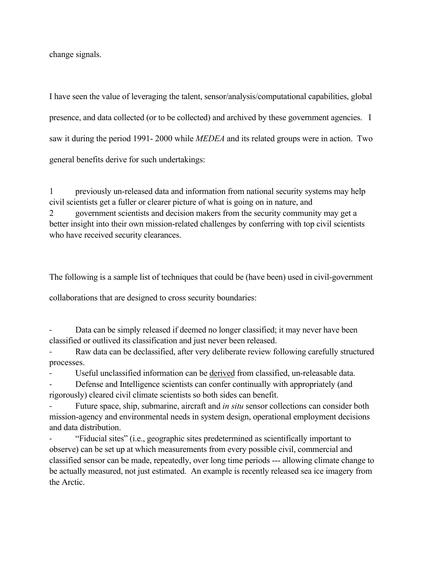change signals.

I have seen the value of leveraging the talent, sensor/analysis/computational capabilities, global presence, and data collected (or to be collected) and archived by these government agencies. I saw it during the period 1991- 2000 while *MEDEA* and its related groups were in action. Two general benefits derive for such undertakings:

1 previously un-released data and information from national security systems may help civil scientists get a fuller or clearer picture of what is going on in nature, and 2 government scientists and decision makers from the security community may get a better insight into their own mission-related challenges by conferring with top civil scientists who have received security clearances.

The following is a sample list of techniques that could be (have been) used in civil-government

collaborations that are designed to cross security boundaries:

Data can be simply released if deemed no longer classified; it may never have been classified or outlived its classification and just never been released.

‐ Raw data can be declassified, after very deliberate review following carefully structured processes.

Useful unclassified information can be derived from classified, un-releasable data.

Defense and Intelligence scientists can confer continually with appropriately (and rigorously) cleared civil climate scientists so both sides can benefit.

‐ Future space, ship, submarine, aircraft and *in situ* sensor collections can consider both mission-agency and environmental needs in system design, operational employment decisions and data distribution.

‐ "Fiducial sites" (i.e., geographic sites predetermined as scientifically important to observe) can be set up at which measurements from every possible civil, commercial and classified sensor can be made, repeatedly, over long time periods --- allowing climate change to be actually measured, not just estimated. An example is recently released sea ice imagery from the Arctic.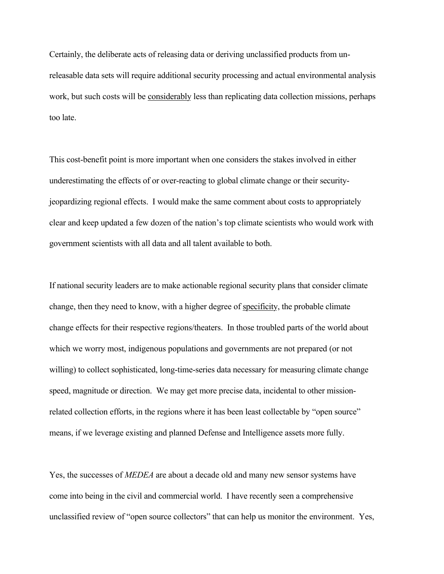Certainly, the deliberate acts of releasing data or deriving unclassified products from unreleasable data sets will require additional security processing and actual environmental analysis work, but such costs will be considerably less than replicating data collection missions, perhaps too late.

This cost-benefit point is more important when one considers the stakes involved in either underestimating the effects of or over-reacting to global climate change or their securityjeopardizing regional effects. I would make the same comment about costs to appropriately clear and keep updated a few dozen of the nation's top climate scientists who would work with government scientists with all data and all talent available to both.

If national security leaders are to make actionable regional security plans that consider climate change, then they need to know, with a higher degree of specificity, the probable climate change effects for their respective regions/theaters. In those troubled parts of the world about which we worry most, indigenous populations and governments are not prepared (or not willing) to collect sophisticated, long-time-series data necessary for measuring climate change speed, magnitude or direction. We may get more precise data, incidental to other missionrelated collection efforts, in the regions where it has been least collectable by "open source" means, if we leverage existing and planned Defense and Intelligence assets more fully.

Yes, the successes of *MEDEA* are about a decade old and many new sensor systems have come into being in the civil and commercial world. I have recently seen a comprehensive unclassified review of "open source collectors" that can help us monitor the environment. Yes,